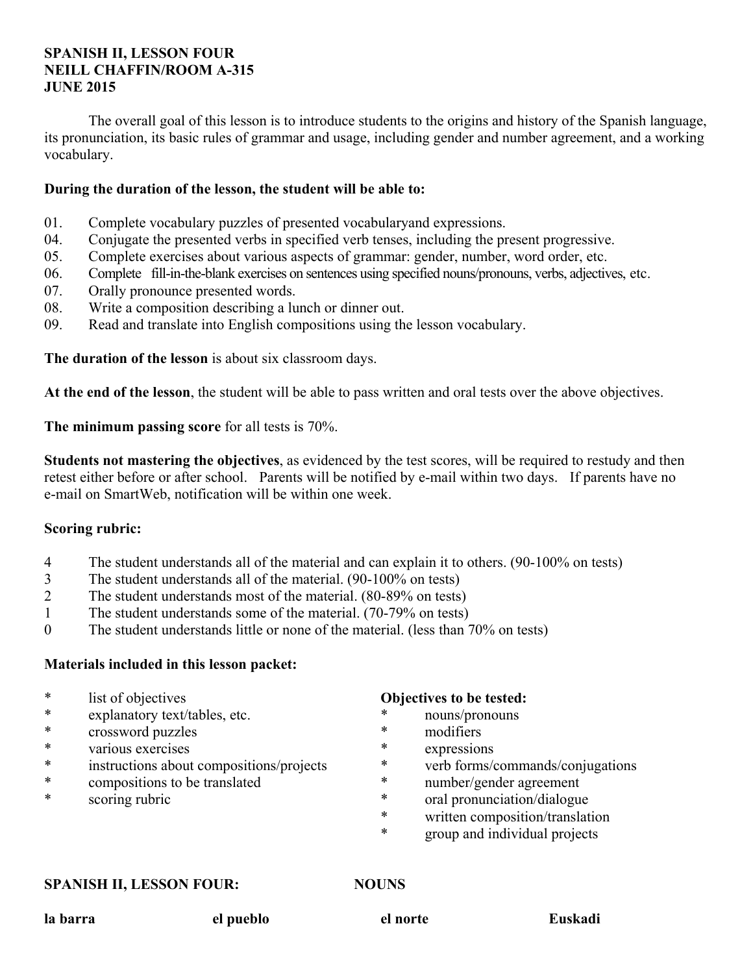## **SPANISH II, LESSON FOUR NEILL CHAFFIN/ROOM A-315 JUNE 2015**

 The overall goal of this lesson is to introduce students to the origins and history of the Spanish language, its pronunciation, its basic rules of grammar and usage, including gender and number agreement, and a working vocabulary.

## **During the duration of the lesson, the student will be able to:**

- 01. Complete vocabulary puzzles of presented vocabularyand expressions.
- 04. Conjugate the presented verbs in specified verb tenses, including the present progressive.
- 05. Complete exercises about various aspects of grammar: gender, number, word order, etc.
- 06. Complete fill-in-the-blank exercises on sentences using specified nouns/pronouns, verbs, adjectives, etc.
- 07. Orally pronounce presented words.
- 08. Write a composition describing a lunch or dinner out.
- 09. Read and translate into English compositions using the lesson vocabulary.

**The duration of the lesson** is about six classroom days.

**At the end of the lesson**, the student will be able to pass written and oral tests over the above objectives.

**The minimum passing score** for all tests is 70%.

**Students not mastering the objectives**, as evidenced by the test scores, will be required to restudy and then retest either before or after school. Parents will be notified by e-mail within two days. If parents have no e-mail on SmartWeb, notification will be within one week.

### **Scoring rubric:**

- 4 The student understands all of the material and can explain it to others. (90-100% on tests)
- 3 The student understands all of the material. (90-100% on tests)
- 2 The student understands most of the material. (80-89% on tests)
- 1 The student understands some of the material. (70-79% on tests)
- 0 The student understands little or none of the material. (less than 70% on tests)

# **Materials included in this lesson packet:**

- \* list of objectives
- \* explanatory text/tables, etc.
- \* crossword puzzles
- \* various exercises
- instructions about compositions/projects
- \* compositions to be translated
- \* scoring rubric

### **Objectives to be tested:**

- nouns/pronouns
- \* modifiers
- \* expressions
- verb forms/commands/conjugations
- \* number/gender agreement
- \* oral pronunciation/dialogue
- \* written composition/translation
- \* group and individual projects

#### **SPANISH II, LESSON FOUR: NOUNS**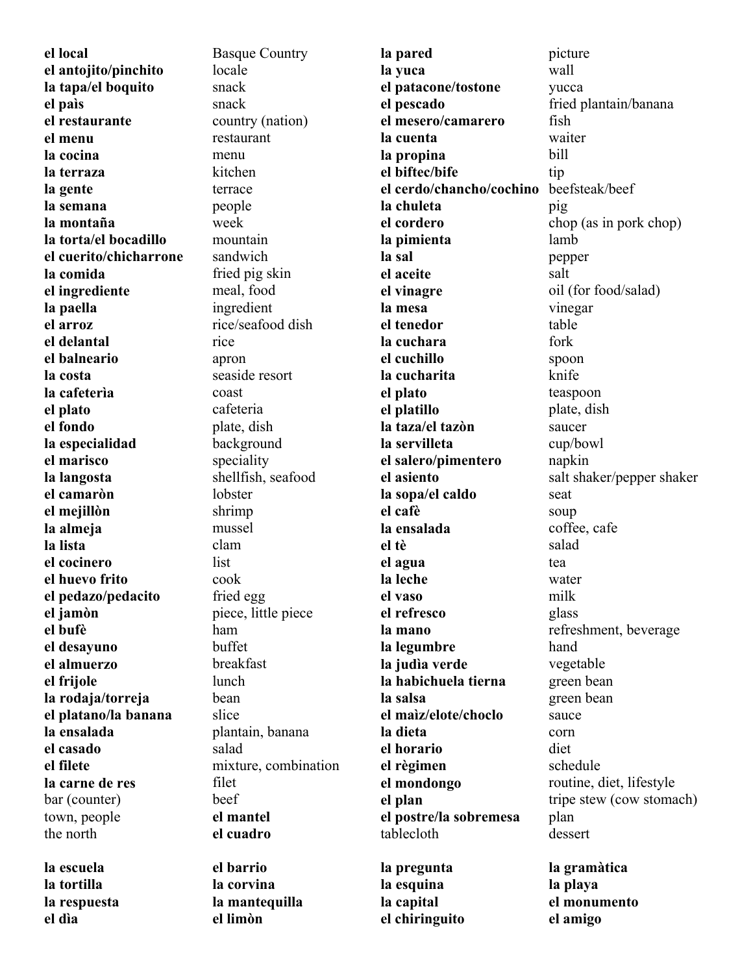**el local el antojito/pinchito la tapa/el boquito el paìs el restaurante el menu la cocina la terraza la gente la semana la montaña la torta/el bocadillo el cuerito/chicharrone la comida el ingrediente la paella el arroz el delantal el balneario la costa la cafeterìa el plato el fondo la especialidad el marisco la langosta el camaròn el mejillòn la almeja la lista el cocinero el huevo frito el pedazo/pedacito el jamòn el bufè el desayuno el almuerzo el frijole la rodaja/torreja el platano/la banana la ensalada el casado el filete la carne de res** bar (counter) town, people the north Basque Country locale snack snack country (nation) restaurant menu kitchen terrace people week mountain sandwich fried pig skin meal, food ingredient rice/seafood dish rice apron seaside resort coast cafeteria plate, dish background speciality shellfish, seafood lobster shrimp mussel clam list cook fried egg piece, little piece ham buffet breakfast lunch bean slice plantain, banana salad mixture, combination filet beef **el mantel el cuadro la pared la yuca el patacone/tostone el pescado el mesero/camarero la cuenta la propina el biftec/bife el cerdo/chancho/cochino la chuleta el cordero la pimienta la sal el aceite el vinagre la mesa el tenedor la cuchara el cuchillo la cucharita el plato el platillo la taza/el tazòn la servilleta el salero/pimentero el asiento la sopa/el caldo el cafè la ensalada el tè el agua la leche el vaso el refresco la mano la legumbre la judìa verde la habichuela tierna la salsa el maìz/elote/choclo la dieta el horario el règimen el mondongo el plan el postre/la sobremesa** tablecloth picture wall yucca fried plantain/banana fish waiter bill tip beefsteak/beef pig chop (as in pork chop) lamb pepper salt oil (for food/salad) vinegar table fork spoon knife teaspoon plate, dish saucer cup/bowl napkin salt shaker/pepper shaker seat soup coffee, cafe salad tea water milk glass refreshment, beverage hand vegetable green bean green bean sauce corn diet schedule routine, diet, lifestyle tripe stew (cow stomach) plan dessert **la escuela la tortilla el barrio la corvina la pregunta la gramàtica la playa** 

**la respuesta el dìa** 

**la mantequilla** 

**el limòn** 

**la esquina la capital el chiringuito** 

**el monumento** 

**el amigo**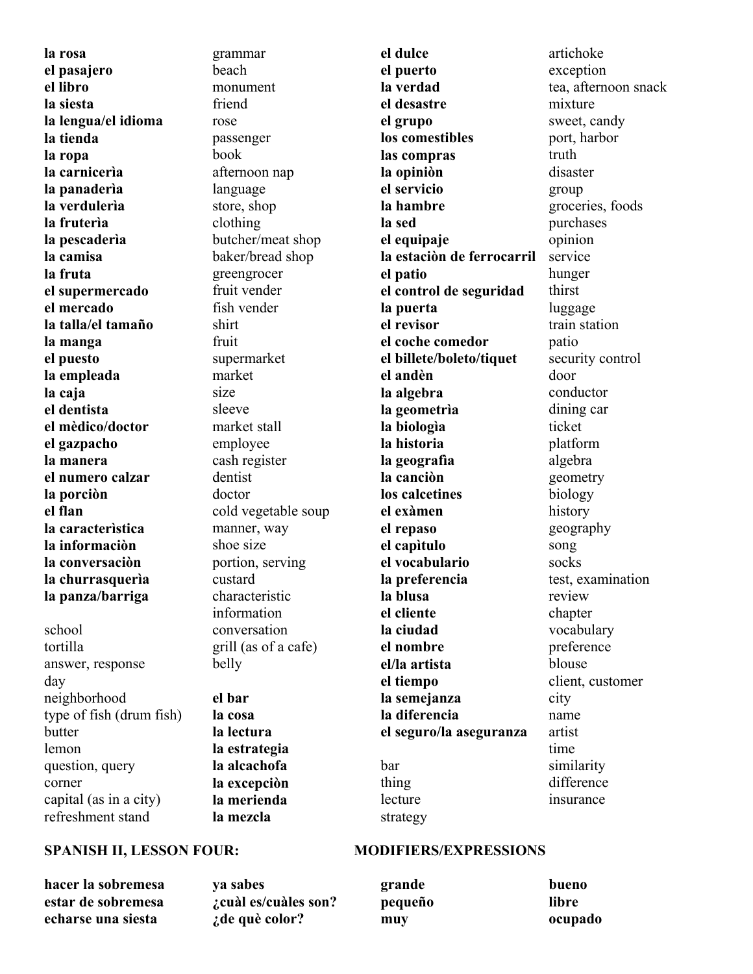**la rosa el pasajero el libro la siesta la lengua/el idioma la tienda la ropa la carnicerìa la panaderìa la verdulerìa la fruterìa la pescaderìa la camisa la fruta el supermercado el mercado la talla/el tamaño la manga el puesto la empleada la caja el dentista el mèdico/doctor el gazpacho la manera el numero calzar la porciòn el flan la caracterìstica la informaciòn la conversaciòn la churrasquerìa la panza/barriga**

school tortilla answer, response day neighborhood type of fish (drum fish) butter lemon question, query corner capital (as in a city) refreshment stand

grammar beach monument friend rose passenger book afternoon nap language store, shop clothing butcher/meat shop baker/bread shop greengrocer fruit vender fish vender shirt fruit supermarket market size sleeve market stall employee cash register dentist doctor cold vegetable soup manner, way shoe size portion, serving custard characteristic information conversation grill (as of a cafe) belly

**el bar la cosa la lectura la estrategia la alcachofa la excepciòn la merienda la mezcla** 

**el puerto la verdad el desastre el grupo los comestibles las compras la opiniòn el servicio la hambre la sed el equipaje la estaciòn de ferrocarril el patio el control de seguridad la puerta el revisor el coche comedor el billete/boleto/tiquet el andèn la algebra la geometrìa la biologìa la historia la geografìa la canciòn los calcetines el exàmen el repaso el capìtulo el vocabulario la preferencia la blusa el cliente la ciudad el nombre el/la artista el tiempo la semejanza la diferencia el seguro/la aseguranza**  bar thing lecture strategy

**el dulce** 

artichoke exception tea, afternoon snack mixture sweet, candy port, harbor truth disaster group groceries, foods purchases opinion service hunger thirst luggage train station patio security control door conductor dining car ticket platform algebra geometry biology history geography song socks test, examination review chapter vocabulary preference blouse client, customer city name artist time similarity difference insurance

### SPANISH II, LESSON FOUR: MODIFIERS/EXPRESSIONS

**hacer la sobremesa estar de sobremesa echarse una siesta** 

**ya sabes ¿cuàl es/cuàles son? ¿de què color?** 

**grande pequeño muy bueno libre ocupado**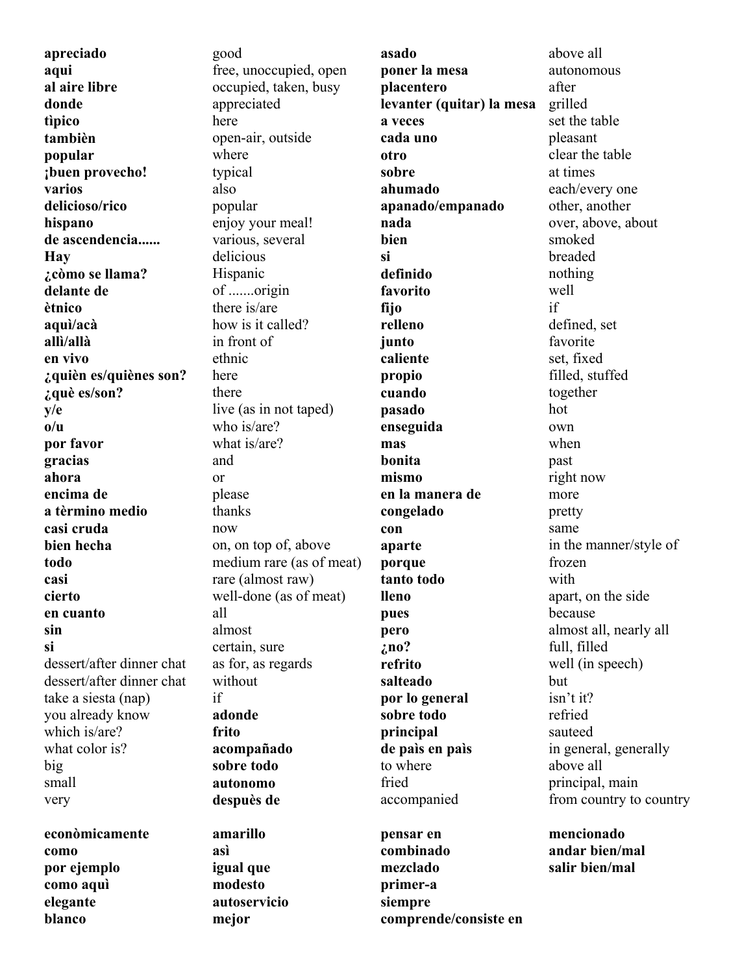**apreciado aqui al aire libre donde tìpico tambièn popular ¡buen provecho! varios delicioso/rico hispano de ascendencia...... Hay ¿còmo se llama? delante de ètnico aquì/acà allì/allà en vivo ¿quièn es/quiènes son? ¿què es/son? y/e o/u por favor gracias ahora encima de a tèrmino medio casi cruda bien hecha todo casi cierto en cuanto sin si** dessert/after dinner chat dessert/after dinner chat take a siesta (nap) you already know which is/are? what color is? big small very

**econòmicamente como por ejemplo como aquì elegante blanco** 

good free, unoccupied, open occupied, taken, busy appreciated here open-air, outside where typical also popular enjoy your meal! various, several delicious Hispanic of .......origin there is/are how is it called? in front of ethnic here there live (as in not taped) who is/are? what is/are? and or please thanks now on, on top of, above medium rare (as of meat) rare (almost raw) well-done (as of meat) all almost certain, sure as for, as regards without if **adonde frito acompañado sobre todo autonomo despuès de amarillo asì igual que** 

**modesto autoservicio** 

**mejor** 

**asado poner la mesa placentero levanter (quitar) la mesa a veces cada uno otro sobre ahumado apanado/empanado nada bien si definido favorito fijo relleno junto caliente propio cuando pasado enseguida mas bonita mismo en la manera de congelado con aparte porque tanto todo lleno pues pero ¿no? refrito salteado por lo general sobre todo principal de paìs en paìs** to where fried accompanied **pensar en** 

**combinado mezclado primer-a siempre comprende/consiste en** 

above all autonomous after grilled set the table pleasant clear the table at times each/every one other, another over, above, about smoked breaded nothing well if defined, set favorite set, fixed filled, stuffed together hot own when past right now more pretty same in the manner/style of frozen with apart, on the side because almost all, nearly all full, filled well (in speech) but isn't it? refried sauteed in general, generally above all principal, main from country to country

**mencionado andar bien/mal salir bien/mal**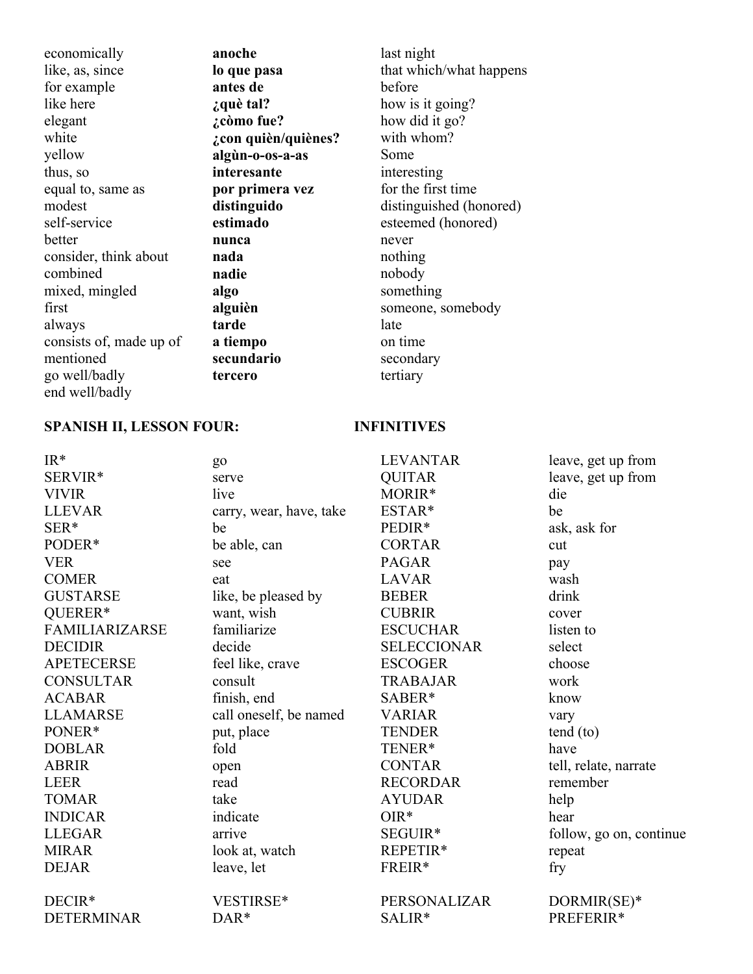economically like, as, since for example like here elegant white yellow thus, so equal to, same as modest self-service better consider, think about combined mixed, mingled first always consists of, made up of mentioned go well/badly end well/badly

**anoche lo que pasa antes de ¿què tal? ¿còmo fue? ¿con quièn/quiènes? algùn-o-os-a-as interesante por primera vez distinguido estimado nunca nada nadie algo alguièn tarde a tiempo secundario tercero**

last night that which/what happens before how is it going? how did it go? with whom? Some interesting for the first time distinguished (honored) esteemed (honored) never nothing nobody something someone, somebody late on time secondary tertiary

### **SPANISH II, LESSON FOUR: INFINITIVES**

| $IR*$                 | go                      | <b>LEVANTAR</b>    | leave, get up from      |
|-----------------------|-------------------------|--------------------|-------------------------|
| SERVIR*               | serve                   | <b>QUITAR</b>      | leave, get up from      |
| <b>VIVIR</b>          | live                    | MORIR*             | die                     |
| <b>LLEVAR</b>         | carry, wear, have, take | ESTAR*             | be                      |
| SER*                  | be                      | PEDIR*             | ask, ask for            |
| PODER*                | be able, can            | <b>CORTAR</b>      | cut                     |
| <b>VER</b>            | see                     | <b>PAGAR</b>       | pay                     |
| <b>COMER</b>          | eat                     | <b>LAVAR</b>       | wash                    |
| <b>GUSTARSE</b>       | like, be pleased by     | <b>BEBER</b>       | drink                   |
| QUERER*               | want, wish              | <b>CUBRIR</b>      | cover                   |
| <b>FAMILIARIZARSE</b> | familiarize             | <b>ESCUCHAR</b>    | listen to               |
| <b>DECIDIR</b>        | decide                  | <b>SELECCIONAR</b> | select                  |
| <b>APETECERSE</b>     | feel like, crave        | <b>ESCOGER</b>     | choose                  |
| <b>CONSULTAR</b>      | consult                 | <b>TRABAJAR</b>    | work                    |
| <b>ACABAR</b>         | finish, end             | SABER*             | know                    |
| <b>LLAMARSE</b>       | call oneself, be named  | <b>VARIAR</b>      | vary                    |
| PONER*                | put, place              | <b>TENDER</b>      | $tend$ (to)             |
| <b>DOBLAR</b>         | fold                    | TENER*             | have                    |
| <b>ABRIR</b>          | open                    | <b>CONTAR</b>      | tell, relate, narrate   |
| <b>LEER</b>           | read                    | <b>RECORDAR</b>    | remember                |
| <b>TOMAR</b>          | take                    | <b>AYUDAR</b>      | help                    |
| <b>INDICAR</b>        | indicate                | $OIR*$             | hear                    |
| <b>LLEGAR</b>         | arrive                  | SEGUIR*            | follow, go on, continue |
| <b>MIRAR</b>          | look at, watch          | REPETIR*           | repeat                  |
| <b>DEJAR</b>          | leave, let              | FREIR*             | fry                     |
| DECIR*                | VESTIRSE*               | PERSONALIZAR       | DORMIR(SE)*             |
| <b>DETERMINAR</b>     | DAR*                    | SALIR*             | PREFERIR*               |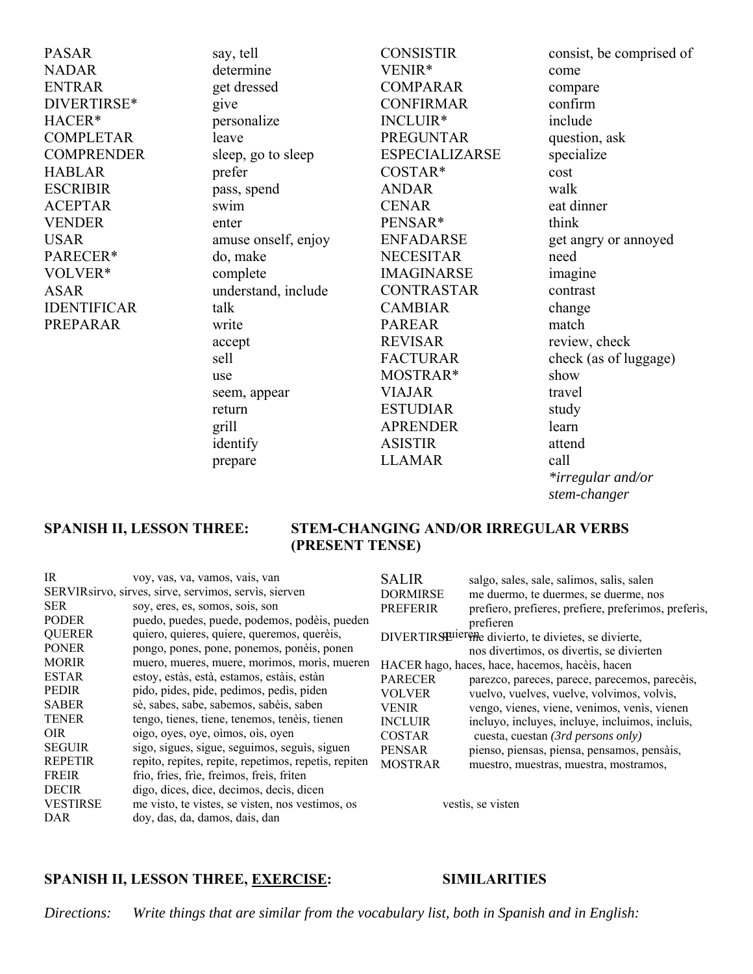PASAR NADAR ENTRAR DIVERTIRSE\* HACER\* COMPLETAR **COMPRENDER** HABLAR **ESCRIBIR** ACEPTAR VENDER USAR PARECER\* VOLVER\* ASAR IDENTIFICAR PREPARAR

say, tell determine get dressed give personalize leave sleep, go to sleep prefer pass, spend swim enter amuse onself, enjoy do, make complete understand, include talk write accept sell use seem, appear return grill identify

prepare

CONSISTIR VENIR\* COMPARAR CONFIRMAR INCLUIR\* PREGUNTAR ESPECIALIZARSE COSTAR\* ANDAR CENAR PENSAR\* ENFADARSE NECESITAR IMAGINARSE CONTRASTAR CAMBIAR PAREAR REVISAR FACTURAR MOSTRAR\* VIAJAR ESTUDIAR APRENDER ASISTIR LLAMAR

consist, be comprised of come compare confirm include question, ask specialize cost walk eat dinner think get angry or annoyed need imagine contrast change match review, check check (as of luggage) show travel study learn attend call *\*irregular and/or stem-changer*

#### **SPANISH II, LESSON THREE: STEM-CHANGING AND/OR IRREGULAR VERBS (PRESENT TENSE)**

| IR              | voy, vas, va, vamos, vais, van                         | <b>SALIR</b>    | salgo, sales, sale, salimos, salis, salen               |
|-----------------|--------------------------------------------------------|-----------------|---------------------------------------------------------|
|                 | SERVIR sirvo, sirves, sirve, servimos, servis, sierven | <b>DORMIRSE</b> | me duermo, te duermes, se duerme, nos                   |
| <b>SER</b>      | soy, eres, es, somos, sois, son                        | <b>PREFERIR</b> | prefiero, prefieres, prefiere, preferimos, preferis,    |
| <b>PODER</b>    | puedo, puedes, puede, podemos, podèis, pueden          |                 | prefieren                                               |
| <b>QUERER</b>   | quiero, quieres, quiere, queremos, querèis,            |                 | DIVERTIRS Fuier The divierto, te divietes, se divierte, |
| <b>PONER</b>    | pongo, pones, pone, ponemos, poneis, ponen             |                 | nos divertimos, os divertis, se divierten               |
| <b>MORIR</b>    | muero, mueres, muere, morimos, moris, mueren           |                 | HACER hago, haces, hace, hacemos, hacèis, hacen         |
| <b>ESTAR</b>    | estoy, estàs, està, estamos, estàis, estàn             | <b>PARECER</b>  | parezco, pareces, parece, parecemos, pareceis,          |
| <b>PEDIR</b>    | pido, pides, pide, pedimos, pedis, piden               | <b>VOLVER</b>   | vuelvo, vuelves, vuelve, volvimos, volvis,              |
| <b>SABER</b>    | sè, sabes, sabe, sabemos, sabèis, saben                | <b>VENIR</b>    | vengo, vienes, viene, venimos, venis, vienen            |
| <b>TENER</b>    | tengo, tienes, tiene, tenemos, tenèis, tienen          | <b>INCLUIR</b>  | incluyo, incluyes, incluye, incluimos, incluis,         |
| OIR.            | oigo, oyes, oye, oimos, ois, oyen                      | <b>COSTAR</b>   | cuesta, cuestan (3rd persons only)                      |
| <b>SEGUIR</b>   | sigo, sigues, sigue, seguimos, seguis, siguen          | <b>PENSAR</b>   | pienso, piensas, piensa, pensamos, pensàis,             |
| <b>REPETIR</b>  | repito, repites, repite, repetimos, repetis, repiten   | <b>MOSTRAR</b>  | muestro, muestras, muestra, mostramos,                  |
| <b>FREIR</b>    | frio, fries, frie, freimos, freis, friten              |                 |                                                         |
| <b>DECIR</b>    | digo, dices, dice, decimos, decis, dicen               |                 |                                                         |
| <b>VESTIRSE</b> | me visto, te vistes, se visten, nos vestimos, os       |                 | vestis, se visten                                       |
| DAR             | doy, das, da, damos, dais, dan                         |                 |                                                         |

## **SPANISH II, LESSON THREE, EXERCISE: SIMILARITIES**

*Directions: Write things that are similar from the vocabulary list, both in Spanish and in English:*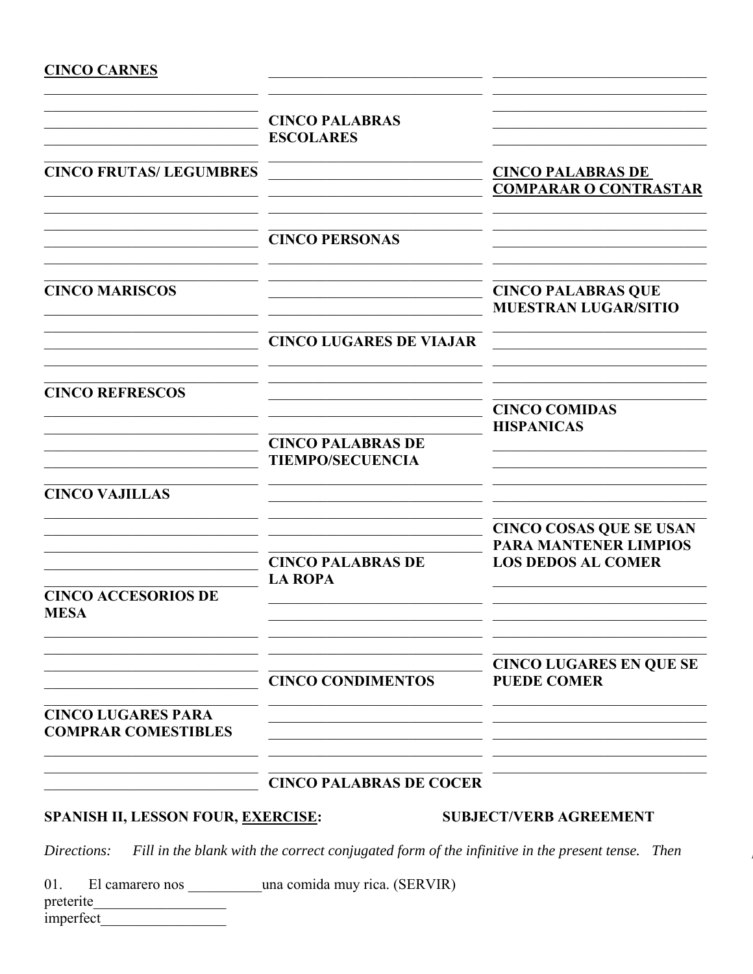# **CINCO CARNES**

| <b>CINCO PALABRAS</b><br><b>ESCOLARES</b>           |                                                                                             |
|-----------------------------------------------------|---------------------------------------------------------------------------------------------|
|                                                     | <b>CINCO PALABRAS DE</b><br><b>COMPARAR O CONTRASTAR</b>                                    |
| <b>CINCO PERSONAS</b>                               |                                                                                             |
|                                                     | <b>CINCO PALABRAS QUE</b><br><b>MUESTRAN LUGAR/SITIO</b>                                    |
| <b>CINCO LUGARES DE VIAJAR</b>                      |                                                                                             |
|                                                     | <b>CINCO COMIDAS</b>                                                                        |
| <b>CINCO PALABRAS DE</b><br><b>TIEMPO/SECUENCIA</b> | <b>HISPANICAS</b>                                                                           |
|                                                     |                                                                                             |
| <b>CINCO PALABRAS DE</b>                            | <b>CINCO COSAS QUE SE USAN</b><br><b>PARA MANTENER LIMPIOS</b><br><b>LOS DEDOS AL COMER</b> |
|                                                     |                                                                                             |
| <b>CINCO CONDIMENTOS</b>                            | <b>CINCO LUGARES EN QUE SE</b><br><b>PUEDE COMER</b>                                        |
|                                                     |                                                                                             |
|                                                     | <b>LA ROPA</b>                                                                              |

# **CINCO PALABRAS DE COCER**

# SPANISH II, LESSON FOUR, EXERCISE:

# **SUBJECT/VERB AGREEMENT**

Directions: Fill in the blank with the correct conjugated form of the infinitive in the present tense. Then

El camarero nos \_\_\_\_\_\_\_\_ una comida muy rica. (SERVIR) 01.

preterite\_ imperfect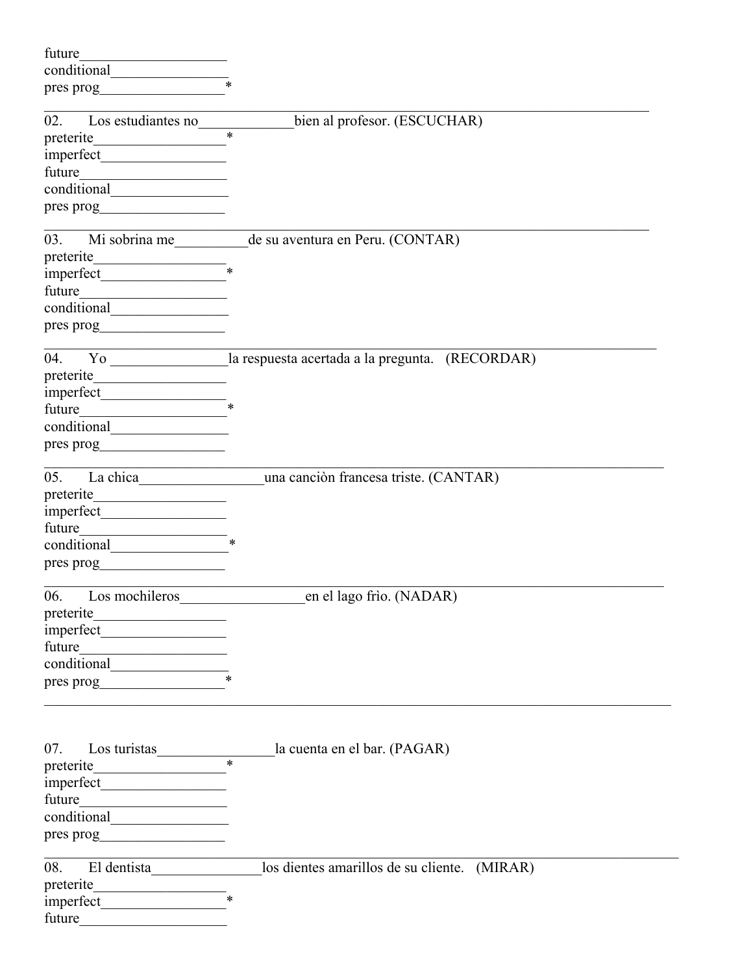| future<br>the company of the company of the company |                                                                                                    |
|-----------------------------------------------------|----------------------------------------------------------------------------------------------------|
|                                                     |                                                                                                    |
| pres prog                                           |                                                                                                    |
|                                                     |                                                                                                    |
| Los estudiantes no<br>02.                           | bien al profesor. (ESCUCHAR)                                                                       |
|                                                     | $\ast$                                                                                             |
|                                                     |                                                                                                    |
|                                                     |                                                                                                    |
|                                                     |                                                                                                    |
|                                                     |                                                                                                    |
|                                                     |                                                                                                    |
| 03.                                                 | Mi sobrina me___________ de su aventura en Peru. (CONTAR)                                          |
| preterite                                           |                                                                                                    |
|                                                     |                                                                                                    |
| future                                              |                                                                                                    |
|                                                     |                                                                                                    |
| pres prog                                           |                                                                                                    |
|                                                     |                                                                                                    |
|                                                     | 04. Yo and Yo and Yo and Yo and Yo and St Targets are respuesta acertada a la pregunta. (RECORDAR) |
| preterite                                           |                                                                                                    |
|                                                     |                                                                                                    |
| future                                              |                                                                                                    |
|                                                     |                                                                                                    |
|                                                     |                                                                                                    |
|                                                     |                                                                                                    |
| 05.                                                 | una canción francesa triste. (CANTAR)                                                              |
|                                                     |                                                                                                    |
| future                                              |                                                                                                    |
| $\overline{\phantom{a}}$                            |                                                                                                    |
|                                                     |                                                                                                    |
| pres prog                                           |                                                                                                    |
| 06.                                                 | Los mochileros en el lago frio. (NADAR)                                                            |
| preterite<br><u> 1950 - Johann Barbara, martxa</u>  |                                                                                                    |
|                                                     |                                                                                                    |
|                                                     |                                                                                                    |
|                                                     |                                                                                                    |
| pres prog                                           |                                                                                                    |
|                                                     |                                                                                                    |
|                                                     |                                                                                                    |
|                                                     |                                                                                                    |
| Los turistas $\frac{\phantom{1}}{1}$<br>07.         | la cuenta en el bar. (PAGAR)                                                                       |
|                                                     |                                                                                                    |
|                                                     |                                                                                                    |
|                                                     |                                                                                                    |
| conditional                                         |                                                                                                    |
|                                                     |                                                                                                    |
|                                                     |                                                                                                    |
| El dentista<br>08.                                  | los dientes amarillos de su cliente. (MIRAR)                                                       |
| $\text{preterite}$ *                                |                                                                                                    |
|                                                     |                                                                                                    |
| future                                              |                                                                                                    |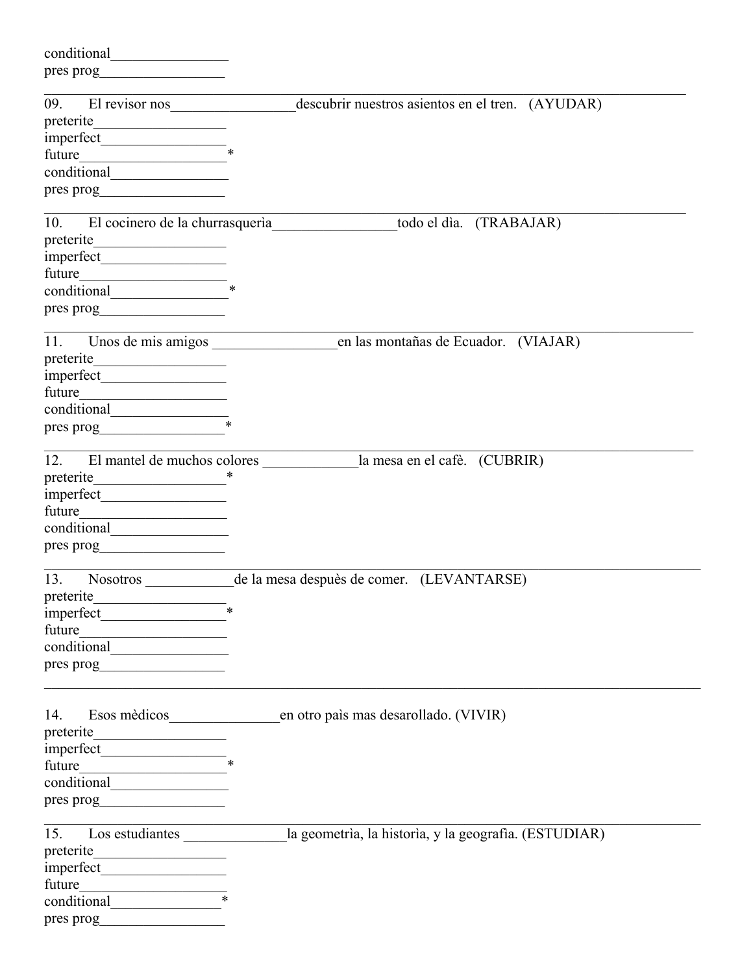| conditional                                                  |                                                                                           |
|--------------------------------------------------------------|-------------------------------------------------------------------------------------------|
| pres prog                                                    |                                                                                           |
|                                                              |                                                                                           |
| El revisor nos<br>09.                                        | descubrir nuestros asientos en el tren. (AYUDAR)                                          |
| preterite<br><u> 1950 - Johann Barbara, martxa</u>           |                                                                                           |
| $\frac{1}{2}$ imperfect $\frac{1}{2}$                        |                                                                                           |
| future                                                       |                                                                                           |
|                                                              |                                                                                           |
| pres prog                                                    |                                                                                           |
| 10. El cocinero de la churrasquería                          | todo el dìa. (TRABAJAR)                                                                   |
| preterite<br><u> 1989 - Johann John Stein, mars et al. (</u> |                                                                                           |
|                                                              |                                                                                           |
|                                                              |                                                                                           |
|                                                              |                                                                                           |
| pres prog                                                    |                                                                                           |
|                                                              |                                                                                           |
| 11.                                                          | Unos de mis amigos en las montañas de Ecuador. (VIAJAR)                                   |
| preterite                                                    |                                                                                           |
|                                                              |                                                                                           |
| future                                                       |                                                                                           |
|                                                              |                                                                                           |
| pres prog                                                    |                                                                                           |
| 12.                                                          | El mantel de muchos colores la mesa en el cafè. (CUBRIR)                                  |
|                                                              |                                                                                           |
|                                                              |                                                                                           |
| future                                                       |                                                                                           |
| conditional                                                  |                                                                                           |
| pres prog                                                    |                                                                                           |
| 13.                                                          | Nosotros de la mesa despuès de comer. (LEVANTARSE)                                        |
| preterite                                                    |                                                                                           |
|                                                              |                                                                                           |
| future                                                       |                                                                                           |
|                                                              |                                                                                           |
| pres prog                                                    |                                                                                           |
| 14.                                                          | Esos mèdicos en otro país mas desarollado. (VIVIR)                                        |
|                                                              |                                                                                           |
|                                                              |                                                                                           |
| $imperfect$ *<br>future                                      |                                                                                           |
|                                                              |                                                                                           |
| pres prog                                                    |                                                                                           |
|                                                              |                                                                                           |
|                                                              | 15. Los estudiantes ________________la geometria, la historia, y la geografia. (ESTUDIAR) |
|                                                              |                                                                                           |
|                                                              |                                                                                           |
| future                                                       |                                                                                           |
| conditional                                                  |                                                                                           |
| pres prog                                                    |                                                                                           |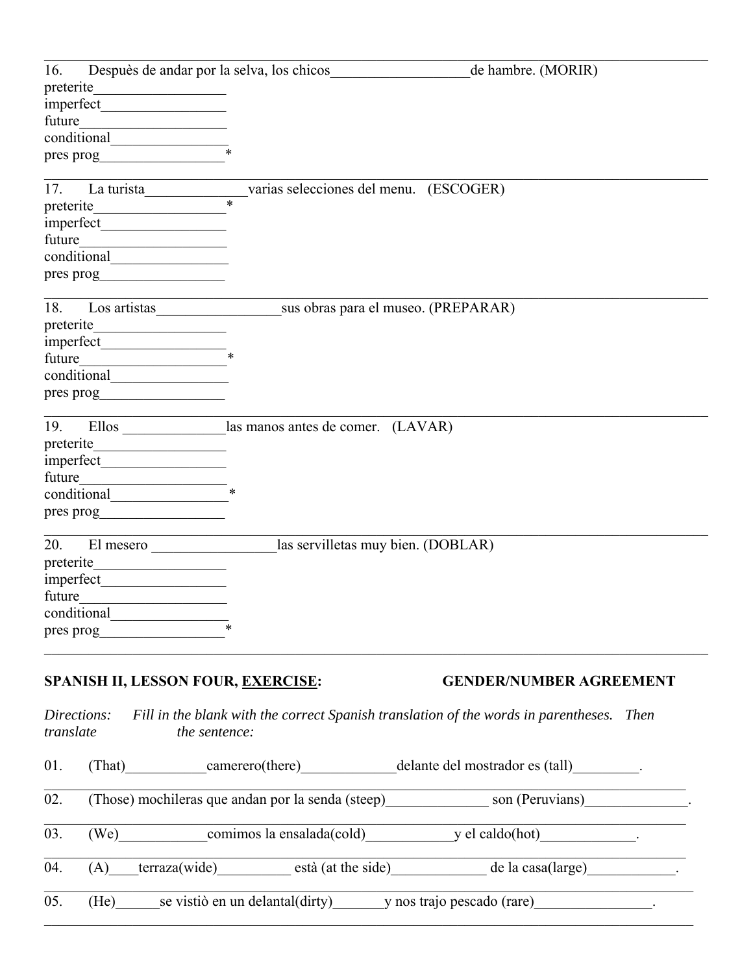| 16.       |             | Despuès de andar por la selva, los chicos<br>de hambre. (MORIR)                                                                                                                                                               |
|-----------|-------------|-------------------------------------------------------------------------------------------------------------------------------------------------------------------------------------------------------------------------------|
| preterite |             | <u> 1989 - Johann John Stein, martin de Britannia</u>                                                                                                                                                                         |
|           |             |                                                                                                                                                                                                                               |
| future    |             | <u> 1989 - Andrea Station Barbara (</u>                                                                                                                                                                                       |
|           |             |                                                                                                                                                                                                                               |
|           |             | pres prog                                                                                                                                                                                                                     |
| 17.       |             | varias selecciones del menu. (ESCOGER)                                                                                                                                                                                        |
| preterite |             | La turista                                                                                                                                                                                                                    |
|           |             |                                                                                                                                                                                                                               |
| future    |             |                                                                                                                                                                                                                               |
|           |             |                                                                                                                                                                                                                               |
|           |             | pres prog                                                                                                                                                                                                                     |
|           |             |                                                                                                                                                                                                                               |
| 18.       |             | sus obras para el museo. (PREPARAR)<br>Los artistas                                                                                                                                                                           |
| preterite |             |                                                                                                                                                                                                                               |
|           |             |                                                                                                                                                                                                                               |
| future    |             |                                                                                                                                                                                                                               |
|           |             | conditional example and the set of the set of the set of the set of the set of the set of the set of the set of the set of the set of the set of the set of the set of the set of the set of the set of the set of the set of |
|           |             | pres prog                                                                                                                                                                                                                     |
| 19.       |             | Ellos ________________las manos antes de comer. (LAVAR)                                                                                                                                                                       |
|           |             | preterite                                                                                                                                                                                                                     |
|           |             |                                                                                                                                                                                                                               |
| future    |             |                                                                                                                                                                                                                               |
|           |             | conditional                                                                                                                                                                                                                   |
|           |             | pres prog                                                                                                                                                                                                                     |
| 20.       |             | las servilletas muy bien. (DOBLAR)                                                                                                                                                                                            |
|           |             | El mesero                                                                                                                                                                                                                     |
|           |             |                                                                                                                                                                                                                               |
|           |             |                                                                                                                                                                                                                               |
|           |             | future<br>conditional                                                                                                                                                                                                         |
|           |             | pres prog                                                                                                                                                                                                                     |
|           |             |                                                                                                                                                                                                                               |
|           |             | SPANISH II, LESSON FOUR, EXERCISE:<br><b>GENDER/NUMBER AGREEMENT</b>                                                                                                                                                          |
|           |             |                                                                                                                                                                                                                               |
| translate | Directions: | Fill in the blank with the correct Spanish translation of the words in parentheses. Then<br>the sentence:                                                                                                                     |
| 01.       |             | (That) camerero(there) delante del mostrador es (tall)                                                                                                                                                                        |
| 02.       |             | (Those) mochileras que andan por la senda (steep) son (Peruvians) ______________.                                                                                                                                             |
| 03.       |             | (We) comimos la ensalada(cold) y el caldo(hot)                                                                                                                                                                                |
| 04.       |             | (A) terraza(wide) està (at the side) de la casa(large)                                                                                                                                                                        |
| 05.       |             | (He) se vistiò en un delantal(dirty) y nos trajo pescado (rare)                                                                                                                                                               |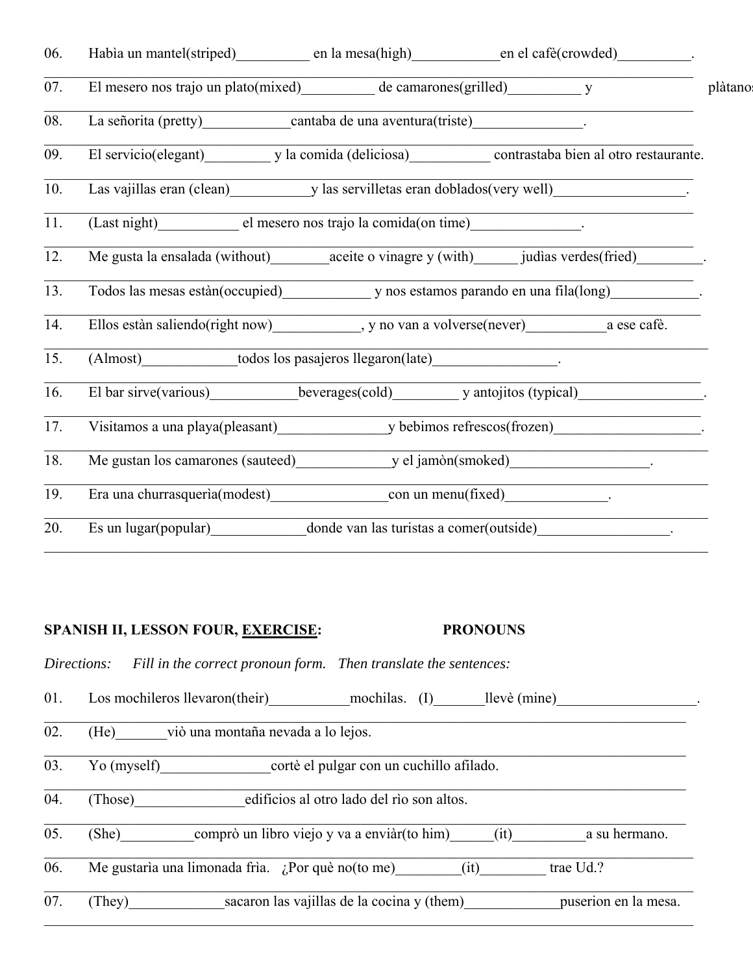| Habia un mantel(striped) en la mesa(high) en el cafè(crowded)                                                                                                                                                                  |
|--------------------------------------------------------------------------------------------------------------------------------------------------------------------------------------------------------------------------------|
| plàtano                                                                                                                                                                                                                        |
|                                                                                                                                                                                                                                |
| El servicio(elegant) y la comida (deliciosa) contrastaba bien al otro restaurante.                                                                                                                                             |
| Las vajillas eran (clean) y las servilletas eran doblados (very well)                                                                                                                                                          |
|                                                                                                                                                                                                                                |
|                                                                                                                                                                                                                                |
| Todos las mesas estàn(occupied) y nos estamos parando en una fila(long) y intervals estànces estàn(occupied) y nos estamos parando en una fila(long)                                                                           |
| Ellos estàn saliendo(right now) _____________, y no van a volverse(never) __________________________ a ese cafè.                                                                                                               |
|                                                                                                                                                                                                                                |
| El bar sirve(various) beverages(cold) y antojitos (typical)                                                                                                                                                                    |
| Visitamos a una playa(pleasant) y bebimos refrescos(frozen)                                                                                                                                                                    |
| Me gustan los camarones (sauteed) y el jamòn(smoked) ___________________________                                                                                                                                               |
| Era una churrasqueria(modest) con un menu(fixed) content entrance entrance entrance entrance entrance entrance entrance entrance entrance entrance entrance entrance entrance entrance entrance entrance entrance entrance ent |
| Es un lugar(popular) donde van las turistas a comer(outside)                                                                                                                                                                   |
|                                                                                                                                                                                                                                |

#### **SPANISH II, LESSON FOUR, EXERCISE: PRONOUNS**

*Directions: Fill in the correct pronoun form. Then translate the sentences:*

01. Los mochileros llevaron(their) mochilas. (I) llevè (mine)

02. (He) viò una montaña nevada a lo lejos.

03. Yo (myself) cortè el pulgar con un cuchillo afilado.

 $\overline{04.}$  (Those) edificios al otro lado del rìo son altos.

 $\overline{05.}$  (She) comprò un libro viejo y va a enviàr(to him) (it) a su hermano.

 $\_$  , and the set of the set of the set of the set of the set of the set of the set of the set of the set of the set of the set of the set of the set of the set of the set of the set of the set of the set of the set of th

06. Me gustarìa una limonada frìa. ¿Por què no(to me) (it) trae Ud.?

07. (They) sacaron las vajillas de la cocina y (them) puserion en la mesa.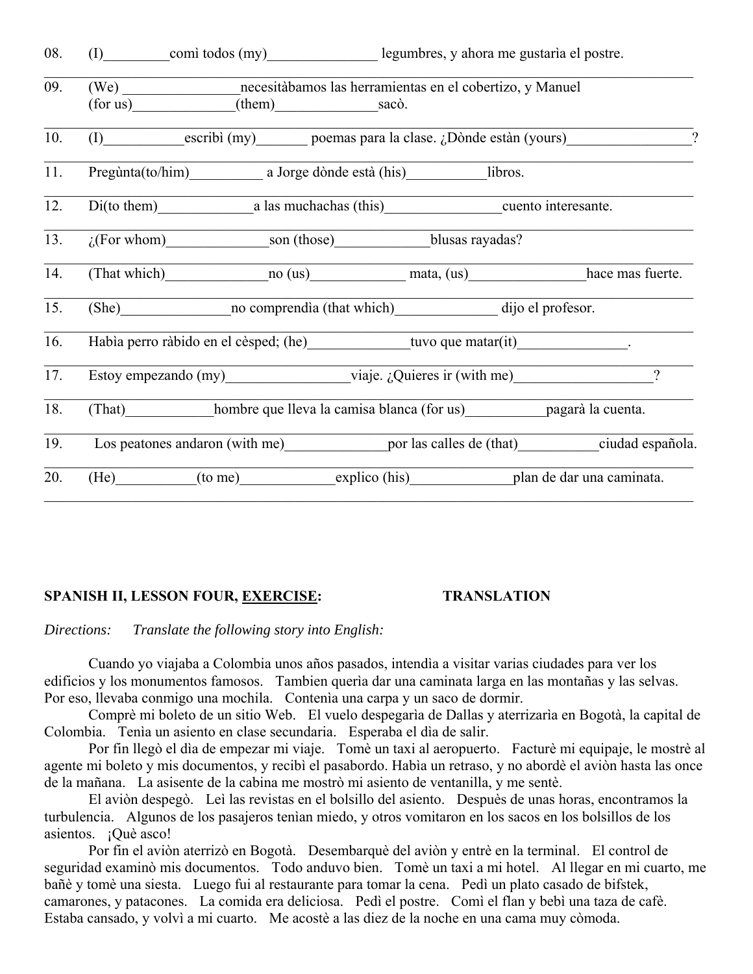| 08. | (I) comitodos (my) legumbres, y ahora me gustaria el postre. |                                                                                                                         |  |                                                                                                           |
|-----|--------------------------------------------------------------|-------------------------------------------------------------------------------------------------------------------------|--|-----------------------------------------------------------------------------------------------------------|
| 09. |                                                              | (We) ___________________ necesitàbamos las herramientas en el cobertizo, y Manuel<br>$(for us)$ $(them)$ sac $\delta$ . |  |                                                                                                           |
| 10. |                                                              |                                                                                                                         |  | (I) escribì (my) poemas para la clase. ¿Dònde estàn (yours)                                               |
| 11. |                                                              | Pregùnta(to/him) a Jorge dònde està (his) libros.                                                                       |  |                                                                                                           |
| 12. |                                                              | Di(to them) a las muchachas (this) cuento interesante.                                                                  |  |                                                                                                           |
| 13. |                                                              | $\zeta$ (For whom) son (those) blusas rayadas?                                                                          |  |                                                                                                           |
| 14. |                                                              | (That which) no (us) mata, (us)                                                                                         |  | hace mas fuerte.                                                                                          |
| 15. |                                                              | (She) no comprendia (that which) dijo el profesor.                                                                      |  |                                                                                                           |
| 16. |                                                              | Habia perro ràbido en el cèsped; (he) tuvo que matar(it) ________________________                                       |  |                                                                                                           |
| 17. |                                                              | Estoy empezando $(my)$ viaje. ¿Quieres ir $(with me)$                                                                   |  | $\gamma$                                                                                                  |
| 18. |                                                              | (That) hombre que lleva la camisa blanca (for us) pagarà la cuenta.                                                     |  |                                                                                                           |
| 19. |                                                              |                                                                                                                         |  | Los peatones andaron (with me) ________________ por las calles de (that) ________________ciudad española. |
| 20. |                                                              | (He) (to me) explico (his) plan de dar una caminata.                                                                    |  |                                                                                                           |
|     |                                                              |                                                                                                                         |  |                                                                                                           |

#### **SPANISH II, LESSON FOUR, EXERCISE:**

#### **TRANSLATION**

Directions: Translate the following story into English:

Cuando yo viajaba a Colombia unos años pasados, intendia a visitar varias ciudades para ver los edificios y los monumentos famosos. Tambien querìa dar una caminata larga en las montañas y las selvas. Por eso, llevaba conmigo una mochila. Contenia una carpa y un saco de dormir.

Comprè mi boleto de un sitio Web. El vuelo despegarìa de Dallas y aterrizarìa en Bogotà, la capital de Colombia. Tenía un asiento en clase secundaria. Esperaba el día de salir.

Por fin llegò el dìa de empezar mi viaje. Tomè un taxi al aeropuerto. Facturè mi equipaje, le mostrè al agente mi boleto y mis documentos, y recibì el pasabordo. Habìa un retraso, y no abordè el aviòn hasta las once de la mañana. La asisente de la cabina me mostrò mi asiento de ventanilla, y me sentè.

El aviòn despegò. Leì las revistas en el bolsillo del asiento. Despuès de unas horas, encontramos la turbulencia. Algunos de los pasajeros tenían miedo, y otros vomitaron en los sacos en los bolsillos de los asientos. ¡Què asco!

Por fin el aviòn aterrizò en Bogotà. Desembarquè del aviòn y entrè en la terminal. El control de seguridad examinò mis documentos. Todo anduvo bien. Tomè un taxi a mi hotel. Al llegar en mi cuarto, me bañè y tomè una siesta. Luego fui al restaurante para tomar la cena. Pedì un plato casado de bifstek, camarones, y patacones. La comida era deliciosa. Pedì el postre. Comì el flan y bebì una taza de cafè. Estaba cansado, y volvì a mi cuarto. Me acostè a las diez de la noche en una cama muy còmoda.